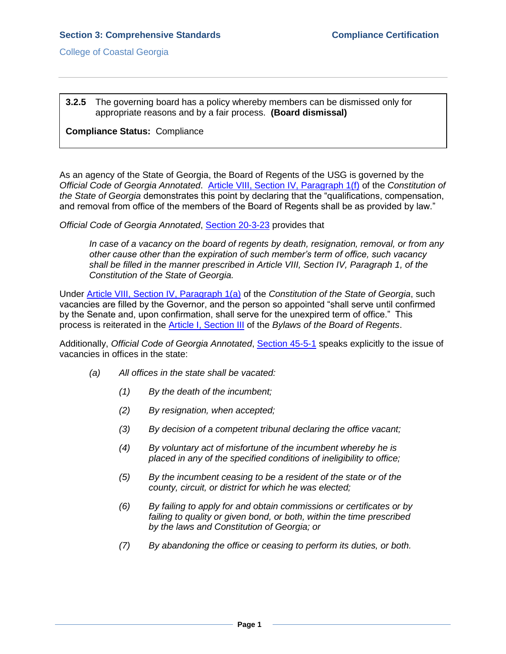College of Coastal Georgia

**3.2.5** The governing board has a policy whereby members can be dismissed only for appropriate reasons and by a fair process. **(Board dismissal)**

## **Compliance Status:** Compliance

As an agency of the State of Georgia, the Board of Regents of the USG is governed by the *Official Code of Georgia Annotated*. [Article VIII, Section IV, Paragraph 1\(f\)](GAconstitution.pdf#page=63) of the *Constitution of the State of Georgia* demonstrates this point by declaring that the "qualifications, compensation, and removal from office of the members of the Board of Regents shall be as provided by law."

*Official Code of Georgia Annotated*, [Section 20-3-23](3.2.5.bOCofGA20-3-23.pdf#page=1) provides that

*In case of a vacancy on the board of regents by death, resignation, removal, or from any other cause other than the expiration of such member's term of office, such vacancy shall be filled in the manner prescribed in [Article VIII, Section IV, Paragraph 1,](file:///C:/Users/blemons/Downloads/SACS%20Reaffirmation/3.2.5/Georgia_Constitution.pdf) of the [Constitution of the State of Georgia.](file:///C:/Users/blemons/Downloads/SACS%20Reaffirmation/3.2.5/Georgia_Constitution.pdf)*

Under [Article VIII, Section IV, Paragraph 1\(a\)](GAconstitution.pdf#page=63) of the *Constitution of the State of Georgia*, such vacancies are filled by the Governor, and the person so appointed "shall serve until confirmed by the Senate and, upon confirmation, shall serve for the unexpired term of office." This process is reiterated in the [Article I, Section III](USGBORbylaws.pdf#page=2) of the *Bylaws of the Board of Regents*.

Additionally, *Official Code of Georgia Annotated*, [Section 45-5-1](3.2.5.dOCofGA45-5-1.pdf#page=1) speaks explicitly to the issue of vacancies in offices in the state:

- *(a) All offices in the state shall be vacated:*
	- *(1) By the death of the incumbent;*
	- *(2) By resignation, when accepted;*
	- *(3) By decision of a competent tribunal declaring the office vacant;*
	- *(4) By voluntary act of misfortune of the incumbent whereby he is placed in any of the specified conditions of ineligibility to office;*
	- *(5) By the incumbent ceasing to be a resident of the state or of the county, circuit, or district for which he was elected;*
	- *(6) By failing to apply for and obtain commissions or certificates or by failing to quality or given bond, or both, within the time prescribed by the laws and Constitution of Georgia; or*
	- *(7) By abandoning the office or ceasing to perform its duties, or both.*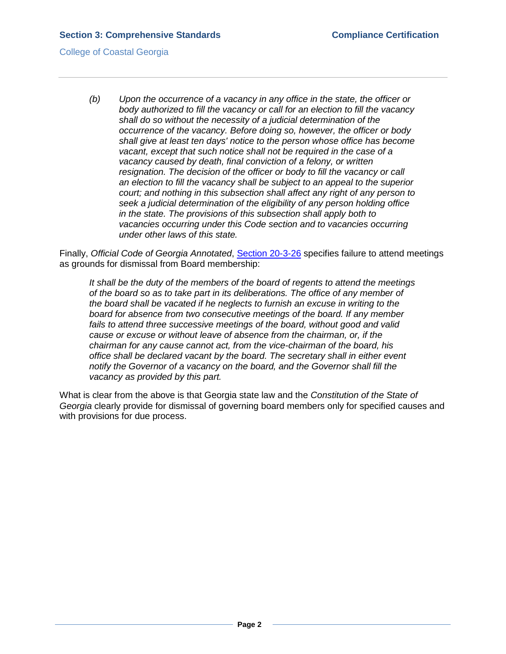## College of Coastal Georgia

*(b) Upon the occurrence of a vacancy in any office in the state, the officer or body authorized to fill the vacancy or call for an election to fill the vacancy shall do so without the necessity of a judicial determination of the occurrence of the vacancy. Before doing so, however, the officer or body shall give at least ten days' notice to the person whose office has become vacant, except that such notice shall not be required in the case of a vacancy caused by death, final conviction of a felony, or written*  resignation. The decision of the officer or body to fill the vacancy or call *an election to fill the vacancy shall be subject to an appeal to the superior court; and nothing in this subsection shall affect any right of any person to seek a judicial determination of the eligibility of any person holding office in the state. The provisions of this subsection shall apply both to vacancies occurring under this Code section and to vacancies occurring under other laws of this state.*

Finally, *Official Code of Georgia Annotated*, [Section 20-3-26](3.2.5.eOCofGA20-3-26.pdf#page=1) specifies failure to attend meetings as grounds for dismissal from Board membership:

*It shall be the duty of the members of the board of regents to attend the meetings of the board so as to take part in its deliberations. The office of any member of the board shall be vacated if he neglects to furnish an excuse in writing to the board for absence from two consecutive meetings of the board. If any member fails to attend three successive meetings of the board, without good and valid cause or excuse or without leave of absence from the chairman, or, if the chairman for any cause cannot act, from the vice-chairman of the board, his office shall be declared vacant by the board. The secretary shall in either event notify the Governor of a vacancy on the board, and the Governor shall fill the vacancy as provided by this part.*

What is clear from the above is that Georgia state law and the *Constitution of the State of Georgia* clearly provide for dismissal of governing board members only for specified causes and with provisions for due process.